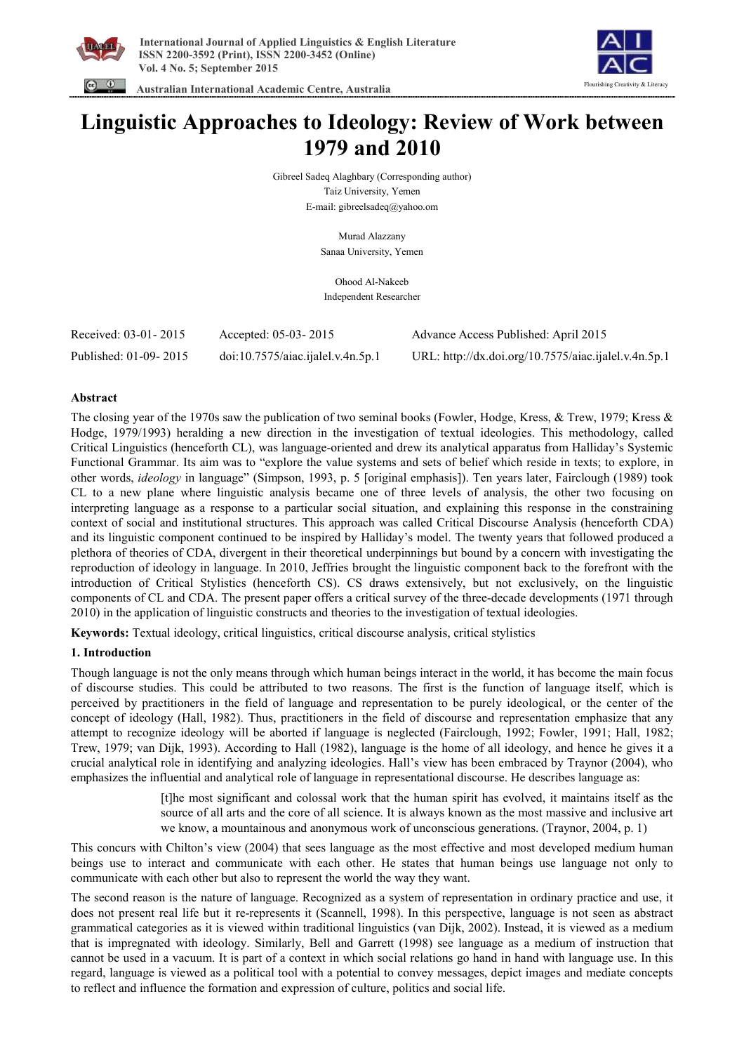



 **Australian International Academic Centre, Australia** 

# **Linguistic Approaches to Ideology: Review of Work between 1979 and 2010**

Gibreel Sadeq Alaghbary (Corresponding author) Taiz University, Yemen E-mail: gibreelsadeq@yahoo.om

> Murad Alazzany Sanaa University, Yemen

Ohood Al-Nakeeb Independent Researcher

| Received: 03-01-2015  | Accepted: 05-03-2015              | Advance Access Published: April 2015                 |
|-----------------------|-----------------------------------|------------------------------------------------------|
| Published: 01-09-2015 | doi:10.7575/aiac.ijalel.v.4n.5p.1 | URL: http://dx.doi.org/10.7575/aiac.ijalel.v.4n.5p.1 |

## **Abstract**

The closing year of the 1970s saw the publication of two seminal books (Fowler, Hodge, Kress, & Trew, 1979; Kress & Hodge, 1979/1993) heralding a new direction in the investigation of textual ideologies. This methodology, called Critical Linguistics (henceforth CL), was language-oriented and drew its analytical apparatus from Halliday's Systemic Functional Grammar. Its aim was to "explore the value systems and sets of belief which reside in texts; to explore, in other words, *ideology* in language" (Simpson, 1993, p. 5 [original emphasis]). Ten years later, Fairclough (1989) took CL to a new plane where linguistic analysis became one of three levels of analysis, the other two focusing on interpreting language as a response to a particular social situation, and explaining this response in the constraining context of social and institutional structures. This approach was called Critical Discourse Analysis (henceforth CDA) and its linguistic component continued to be inspired by Halliday's model. The twenty years that followed produced a plethora of theories of CDA, divergent in their theoretical underpinnings but bound by a concern with investigating the reproduction of ideology in language. In 2010, Jeffries brought the linguistic component back to the forefront with the introduction of Critical Stylistics (henceforth CS). CS draws extensively, but not exclusively, on the linguistic components of CL and CDA. The present paper offers a critical survey of the three-decade developments (1971 through 2010) in the application of linguistic constructs and theories to the investigation of textual ideologies.

**Keywords:** Textual ideology, critical linguistics, critical discourse analysis, critical stylistics

## **1. Introduction**

Though language is not the only means through which human beings interact in the world, it has become the main focus of discourse studies. This could be attributed to two reasons. The first is the function of language itself, which is perceived by practitioners in the field of language and representation to be purely ideological, or the center of the concept of ideology (Hall, 1982). Thus, practitioners in the field of discourse and representation emphasize that any attempt to recognize ideology will be aborted if language is neglected (Fairclough, 1992; Fowler, 1991; Hall, 1982; Trew, 1979; van Dijk, 1993). According to Hall (1982), language is the home of all ideology, and hence he gives it a crucial analytical role in identifying and analyzing ideologies. Hall's view has been embraced by Traynor (2004), who emphasizes the influential and analytical role of language in representational discourse. He describes language as:

> [t]he most significant and colossal work that the human spirit has evolved, it maintains itself as the source of all arts and the core of all science. It is always known as the most massive and inclusive art we know, a mountainous and anonymous work of unconscious generations. (Traynor, 2004, p. 1)

This concurs with Chilton's view (2004) that sees language as the most effective and most developed medium human beings use to interact and communicate with each other. He states that human beings use language not only to communicate with each other but also to represent the world the way they want.

The second reason is the nature of language. Recognized as a system of representation in ordinary practice and use, it does not present real life but it re-represents it (Scannell, 1998). In this perspective, language is not seen as abstract grammatical categories as it is viewed within traditional linguistics (van Dijk, 2002). Instead, it is viewed as a medium that is impregnated with ideology. Similarly, Bell and Garrett (1998) see language as a medium of instruction that cannot be used in a vacuum. It is part of a context in which social relations go hand in hand with language use. In this regard, language is viewed as a political tool with a potential to convey messages, depict images and mediate concepts to reflect and influence the formation and expression of culture, politics and social life.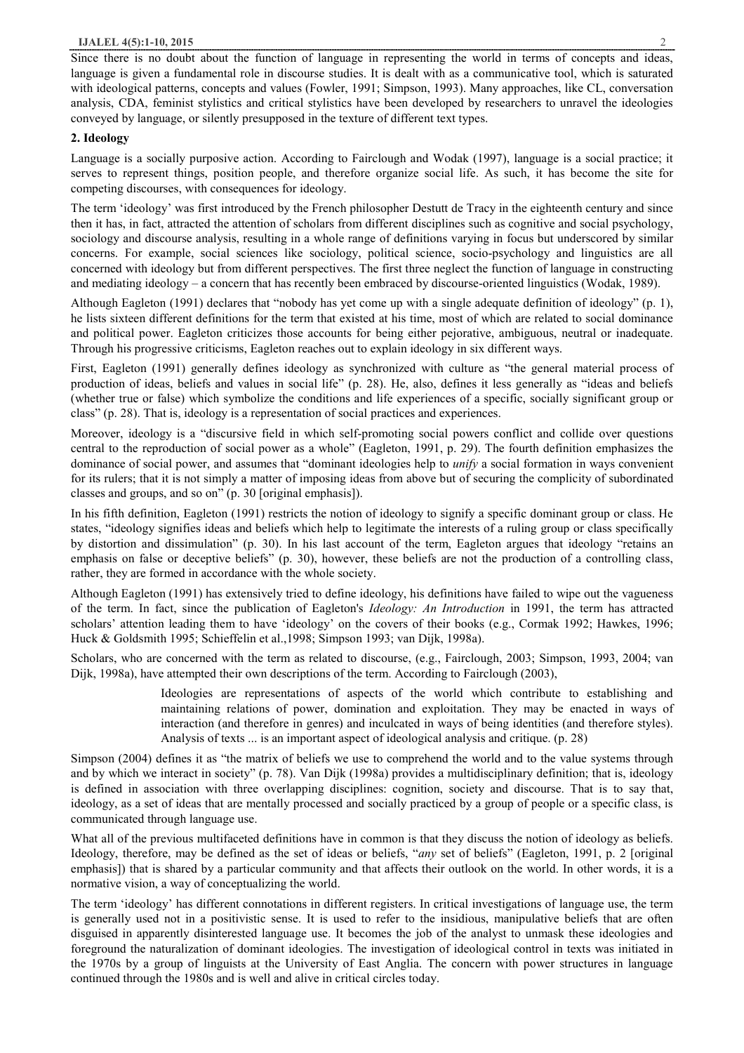Since there is no doubt about the function of language in representing the world in terms of concepts and ideas, language is given a fundamental role in discourse studies. It is dealt with as a communicative tool, which is saturated with ideological patterns, concepts and values (Fowler, 1991; Simpson, 1993). Many approaches, like CL, conversation analysis, CDA, feminist stylistics and critical stylistics have been developed by researchers to unravel the ideologies conveyed by language, or silently presupposed in the texture of different text types.

## **2. Ideology**

Language is a socially purposive action. According to Fairclough and Wodak (1997), language is a social practice; it serves to represent things, position people, and therefore organize social life. As such, it has become the site for competing discourses, with consequences for ideology.

The term 'ideology' was first introduced by the French philosopher Destutt de Tracy in the eighteenth century and since then it has, in fact, attracted the attention of scholars from different disciplines such as cognitive and social psychology, sociology and discourse analysis, resulting in a whole range of definitions varying in focus but underscored by similar concerns. For example, social sciences like sociology, political science, socio-psychology and linguistics are all concerned with ideology but from different perspectives. The first three neglect the function of language in constructing and mediating ideology – a concern that has recently been embraced by discourse-oriented linguistics (Wodak, 1989).

Although Eagleton (1991) declares that "nobody has yet come up with a single adequate definition of ideology" (p. 1), he lists sixteen different definitions for the term that existed at his time, most of which are related to social dominance and political power. Eagleton criticizes those accounts for being either pejorative, ambiguous, neutral or inadequate. Through his progressive criticisms, Eagleton reaches out to explain ideology in six different ways.

First, Eagleton (1991) generally defines ideology as synchronized with culture as "the general material process of production of ideas, beliefs and values in social life" (p. 28). He, also, defines it less generally as "ideas and beliefs (whether true or false) which symbolize the conditions and life experiences of a specific, socially significant group or class" (p. 28). That is, ideology is a representation of social practices and experiences.

Moreover, ideology is a "discursive field in which self-promoting social powers conflict and collide over questions central to the reproduction of social power as a whole" (Eagleton, 1991, p. 29). The fourth definition emphasizes the dominance of social power, and assumes that "dominant ideologies help to *unify* a social formation in ways convenient for its rulers; that it is not simply a matter of imposing ideas from above but of securing the complicity of subordinated classes and groups, and so on" (p. 30 [original emphasis]).

In his fifth definition, Eagleton (1991) restricts the notion of ideology to signify a specific dominant group or class. He states, "ideology signifies ideas and beliefs which help to legitimate the interests of a ruling group or class specifically by distortion and dissimulation" (p. 30). In his last account of the term, Eagleton argues that ideology "retains an emphasis on false or deceptive beliefs" (p. 30), however, these beliefs are not the production of a controlling class, rather, they are formed in accordance with the whole society.

Although Eagleton (1991) has extensively tried to define ideology, his definitions have failed to wipe out the vagueness of the term. In fact, since the publication of Eagleton's *Ideology: An Introduction* in 1991, the term has attracted scholars' attention leading them to have 'ideology' on the covers of their books (e.g., Cormak 1992; Hawkes, 1996; Huck & Goldsmith 1995; Schieffelin et al.,1998; Simpson 1993; van Dijk, 1998a).

Scholars, who are concerned with the term as related to discourse, (e.g., Fairclough, 2003; Simpson, 1993, 2004; van Dijk, 1998a), have attempted their own descriptions of the term. According to Fairclough (2003),

> Ideologies are representations of aspects of the world which contribute to establishing and maintaining relations of power, domination and exploitation. They may be enacted in ways of interaction (and therefore in genres) and inculcated in ways of being identities (and therefore styles). Analysis of texts ... is an important aspect of ideological analysis and critique. (p. 28)

Simpson (2004) defines it as "the matrix of beliefs we use to comprehend the world and to the value systems through and by which we interact in society" (p. 78). Van Dijk (1998a) provides a multidisciplinary definition; that is, ideology is defined in association with three overlapping disciplines: cognition, society and discourse. That is to say that, ideology, as a set of ideas that are mentally processed and socially practiced by a group of people or a specific class, is communicated through language use.

What all of the previous multifaceted definitions have in common is that they discuss the notion of ideology as beliefs. Ideology, therefore, may be defined as the set of ideas or beliefs, "*any* set of beliefs" (Eagleton, 1991, p. 2 [original emphasis]) that is shared by a particular community and that affects their outlook on the world. In other words, it is a normative vision, a way of conceptualizing the world.

The term 'ideology' has different connotations in different registers. In critical investigations of language use, the term is generally used not in a positivistic sense. It is used to refer to the insidious, manipulative beliefs that are often disguised in apparently disinterested language use. It becomes the job of the analyst to unmask these ideologies and foreground the naturalization of dominant ideologies. The investigation of ideological control in texts was initiated in the 1970s by a group of linguists at the University of East Anglia. The concern with power structures in language continued through the 1980s and is well and alive in critical circles today.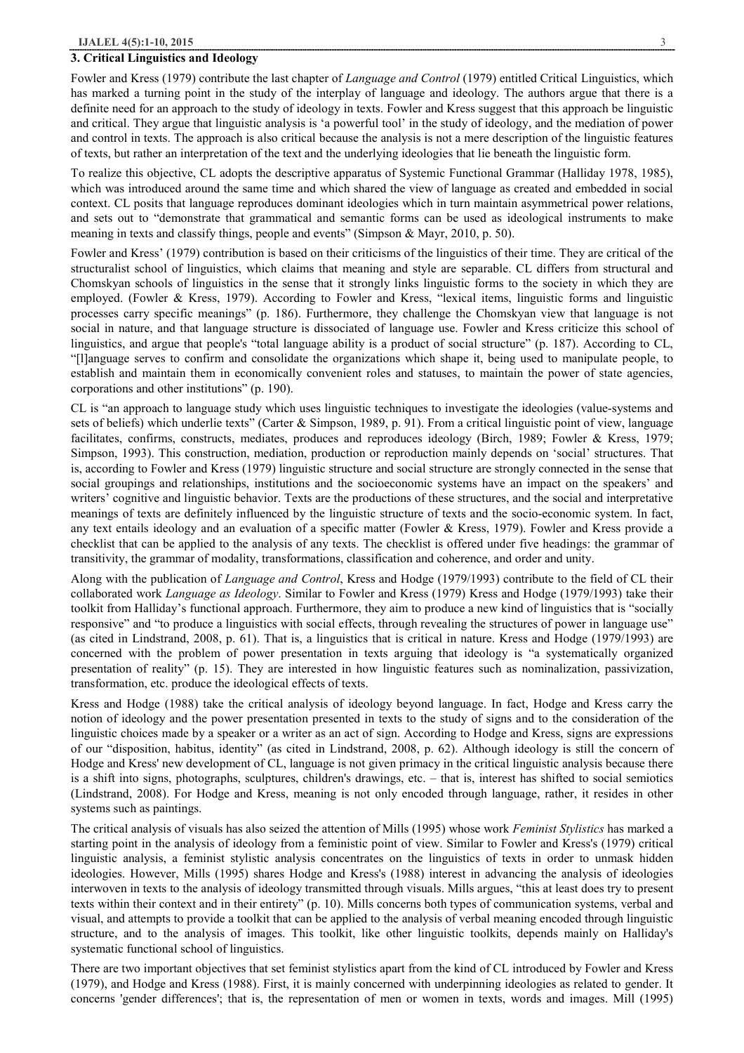#### **3. Critical Linguistics and Ideology**

Fowler and Kress (1979) contribute the last chapter of *Language and Control* (1979) entitled Critical Linguistics, which has marked a turning point in the study of the interplay of language and ideology. The authors argue that there is a definite need for an approach to the study of ideology in texts. Fowler and Kress suggest that this approach be linguistic and critical. They argue that linguistic analysis is 'a powerful tool' in the study of ideology, and the mediation of power and control in texts. The approach is also critical because the analysis is not a mere description of the linguistic features of texts, but rather an interpretation of the text and the underlying ideologies that lie beneath the linguistic form.

To realize this objective, CL adopts the descriptive apparatus of Systemic Functional Grammar (Halliday 1978, 1985), which was introduced around the same time and which shared the view of language as created and embedded in social context. CL posits that language reproduces dominant ideologies which in turn maintain asymmetrical power relations, and sets out to "demonstrate that grammatical and semantic forms can be used as ideological instruments to make meaning in texts and classify things, people and events" (Simpson & Mayr, 2010, p. 50).

Fowler and Kress' (1979) contribution is based on their criticisms of the linguistics of their time. They are critical of the structuralist school of linguistics, which claims that meaning and style are separable. CL differs from structural and Chomskyan schools of linguistics in the sense that it strongly links linguistic forms to the society in which they are employed. (Fowler & Kress, 1979). According to Fowler and Kress, "lexical items, linguistic forms and linguistic processes carry specific meanings" (p. 186). Furthermore, they challenge the Chomskyan view that language is not social in nature, and that language structure is dissociated of language use. Fowler and Kress criticize this school of linguistics, and argue that people's "total language ability is a product of social structure" (p. 187). According to CL, "[l]anguage serves to confirm and consolidate the organizations which shape it, being used to manipulate people, to establish and maintain them in economically convenient roles and statuses, to maintain the power of state agencies, corporations and other institutions" (p. 190).

CL is "an approach to language study which uses linguistic techniques to investigate the ideologies (value-systems and sets of beliefs) which underlie texts" (Carter & Simpson, 1989, p. 91). From a critical linguistic point of view, language facilitates, confirms, constructs, mediates, produces and reproduces ideology (Birch, 1989; Fowler & Kress, 1979; Simpson, 1993). This construction, mediation, production or reproduction mainly depends on 'social' structures. That is, according to Fowler and Kress (1979) linguistic structure and social structure are strongly connected in the sense that social groupings and relationships, institutions and the socioeconomic systems have an impact on the speakers' and writers' cognitive and linguistic behavior. Texts are the productions of these structures, and the social and interpretative meanings of texts are definitely influenced by the linguistic structure of texts and the socio-economic system. In fact, any text entails ideology and an evaluation of a specific matter (Fowler & Kress, 1979). Fowler and Kress provide a checklist that can be applied to the analysis of any texts. The checklist is offered under five headings: the grammar of transitivity, the grammar of modality, transformations, classification and coherence, and order and unity.

Along with the publication of *Language and Control*, Kress and Hodge (1979/1993) contribute to the field of CL their collaborated work *Language as Ideology*. Similar to Fowler and Kress (1979) Kress and Hodge (1979/1993) take their toolkit from Halliday's functional approach. Furthermore, they aim to produce a new kind of linguistics that is "socially responsive" and "to produce a linguistics with social effects, through revealing the structures of power in language use" (as cited in Lindstrand, 2008, p. 61). That is, a linguistics that is critical in nature. Kress and Hodge (1979/1993) are concerned with the problem of power presentation in texts arguing that ideology is "a systematically organized presentation of reality" (p. 15). They are interested in how linguistic features such as nominalization, passivization, transformation, etc. produce the ideological effects of texts.

Kress and Hodge (1988) take the critical analysis of ideology beyond language. In fact, Hodge and Kress carry the notion of ideology and the power presentation presented in texts to the study of signs and to the consideration of the linguistic choices made by a speaker or a writer as an act of sign. According to Hodge and Kress, signs are expressions of our "disposition, habitus, identity" (as cited in Lindstrand, 2008, p. 62). Although ideology is still the concern of Hodge and Kress' new development of CL, language is not given primacy in the critical linguistic analysis because there is a shift into signs, photographs, sculptures, children's drawings, etc. – that is, interest has shifted to social semiotics (Lindstrand, 2008). For Hodge and Kress, meaning is not only encoded through language, rather, it resides in other systems such as paintings.

The critical analysis of visuals has also seized the attention of Mills (1995) whose work *Feminist Stylistics* has marked a starting point in the analysis of ideology from a feministic point of view. Similar to Fowler and Kress's (1979) critical linguistic analysis, a feminist stylistic analysis concentrates on the linguistics of texts in order to unmask hidden ideologies. However, Mills (1995) shares Hodge and Kress's (1988) interest in advancing the analysis of ideologies interwoven in texts to the analysis of ideology transmitted through visuals. Mills argues, "this at least does try to present texts within their context and in their entirety" (p. 10). Mills concerns both types of communication systems, verbal and visual, and attempts to provide a toolkit that can be applied to the analysis of verbal meaning encoded through linguistic structure, and to the analysis of images. This toolkit, like other linguistic toolkits, depends mainly on Halliday's systematic functional school of linguistics.

There are two important objectives that set feminist stylistics apart from the kind of CL introduced by Fowler and Kress (1979), and Hodge and Kress (1988). First, it is mainly concerned with underpinning ideologies as related to gender. It concerns 'gender differences'; that is, the representation of men or women in texts, words and images. Mill (1995)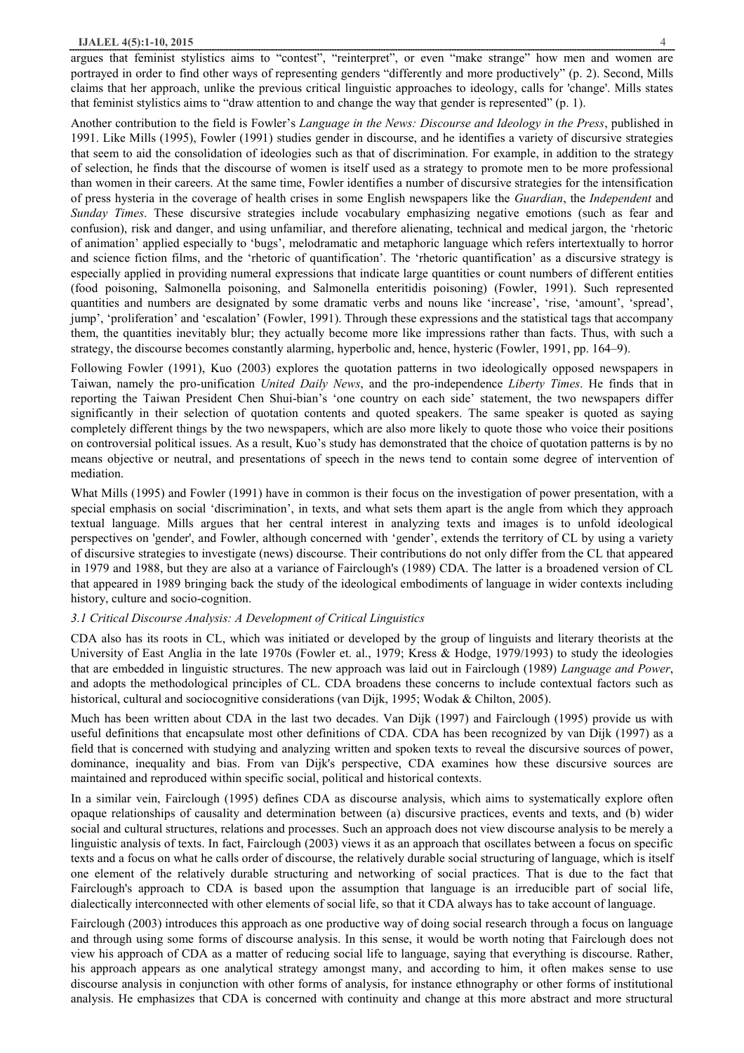argues that feminist stylistics aims to "contest", "reinterpret", or even "make strange" how men and women are portrayed in order to find other ways of representing genders "differently and more productively" (p. 2). Second, Mills claims that her approach, unlike the previous critical linguistic approaches to ideology, calls for 'change'. Mills states that feminist stylistics aims to "draw attention to and change the way that gender is represented" (p. 1).

Another contribution to the field is Fowler's *Language in the News: Discourse and Ideology in the Press*, published in 1991. Like Mills (1995), Fowler (1991) studies gender in discourse, and he identifies a variety of discursive strategies that seem to aid the consolidation of ideologies such as that of discrimination. For example, in addition to the strategy of selection, he finds that the discourse of women is itself used as a strategy to promote men to be more professional than women in their careers. At the same time, Fowler identifies a number of discursive strategies for the intensification of press hysteria in the coverage of health crises in some English newspapers like the *Guardian*, the *Independent* and *Sunday Times*. These discursive strategies include vocabulary emphasizing negative emotions (such as fear and confusion), risk and danger, and using unfamiliar, and therefore alienating, technical and medical jargon, the 'rhetoric of animation' applied especially to 'bugs', melodramatic and metaphoric language which refers intertextually to horror and science fiction films, and the 'rhetoric of quantification'. The 'rhetoric quantification' as a discursive strategy is especially applied in providing numeral expressions that indicate large quantities or count numbers of different entities (food poisoning, Salmonella poisoning, and Salmonella enteritidis poisoning) (Fowler, 1991). Such represented quantities and numbers are designated by some dramatic verbs and nouns like 'increase', 'rise, 'amount', 'spread', jump', 'proliferation' and 'escalation' (Fowler, 1991). Through these expressions and the statistical tags that accompany them, the quantities inevitably blur; they actually become more like impressions rather than facts. Thus, with such a strategy, the discourse becomes constantly alarming, hyperbolic and, hence, hysteric (Fowler, 1991, pp. 164–9).

Following Fowler (1991), Kuo (2003) explores the quotation patterns in two ideologically opposed newspapers in Taiwan, namely the pro-unification *United Daily News*, and the pro-independence *Liberty Times*. He finds that in reporting the Taiwan President Chen Shui-bian's 'one country on each side' statement, the two newspapers differ significantly in their selection of quotation contents and quoted speakers. The same speaker is quoted as saying completely different things by the two newspapers, which are also more likely to quote those who voice their positions on controversial political issues. As a result, Kuo's study has demonstrated that the choice of quotation patterns is by no means objective or neutral, and presentations of speech in the news tend to contain some degree of intervention of mediation.

What Mills (1995) and Fowler (1991) have in common is their focus on the investigation of power presentation, with a special emphasis on social 'discrimination', in texts, and what sets them apart is the angle from which they approach textual language. Mills argues that her central interest in analyzing texts and images is to unfold ideological perspectives on 'gender', and Fowler, although concerned with 'gender', extends the territory of CL by using a variety of discursive strategies to investigate (news) discourse. Their contributions do not only differ from the CL that appeared in 1979 and 1988, but they are also at a variance of Fairclough's (1989) CDA. The latter is a broadened version of CL that appeared in 1989 bringing back the study of the ideological embodiments of language in wider contexts including history, culture and socio-cognition.

# *3.1 Critical Discourse Analysis: A Development of Critical Linguistics*

CDA also has its roots in CL, which was initiated or developed by the group of linguists and literary theorists at the University of East Anglia in the late 1970s (Fowler et. al., 1979; Kress & Hodge, 1979/1993) to study the ideologies that are embedded in linguistic structures. The new approach was laid out in Fairclough (1989) *Language and Power*, and adopts the methodological principles of CL. CDA broadens these concerns to include contextual factors such as historical, cultural and sociocognitive considerations (van Dijk, 1995; Wodak & Chilton, 2005).

Much has been written about CDA in the last two decades. Van Dijk (1997) and Fairclough (1995) provide us with useful definitions that encapsulate most other definitions of CDA. CDA has been recognized by van Dijk (1997) as a field that is concerned with studying and analyzing written and spoken texts to reveal the discursive sources of power, dominance, inequality and bias. From van Dijk's perspective, CDA examines how these discursive sources are maintained and reproduced within specific social, political and historical contexts.

In a similar vein, Fairclough (1995) defines CDA as discourse analysis, which aims to systematically explore often opaque relationships of causality and determination between (a) discursive practices, events and texts, and (b) wider social and cultural structures, relations and processes. Such an approach does not view discourse analysis to be merely a linguistic analysis of texts. In fact, Fairclough (2003) views it as an approach that oscillates between a focus on specific texts and a focus on what he calls order of discourse, the relatively durable social structuring of language, which is itself one element of the relatively durable structuring and networking of social practices. That is due to the fact that Fairclough's approach to CDA is based upon the assumption that language is an irreducible part of social life, dialectically interconnected with other elements of social life, so that it CDA always has to take account of language.

Fairclough (2003) introduces this approach as one productive way of doing social research through a focus on language and through using some forms of discourse analysis. In this sense, it would be worth noting that Fairclough does not view his approach of CDA as a matter of reducing social life to language, saying that everything is discourse. Rather, his approach appears as one analytical strategy amongst many, and according to him, it often makes sense to use discourse analysis in conjunction with other forms of analysis, for instance ethnography or other forms of institutional analysis. He emphasizes that CDA is concerned with continuity and change at this more abstract and more structural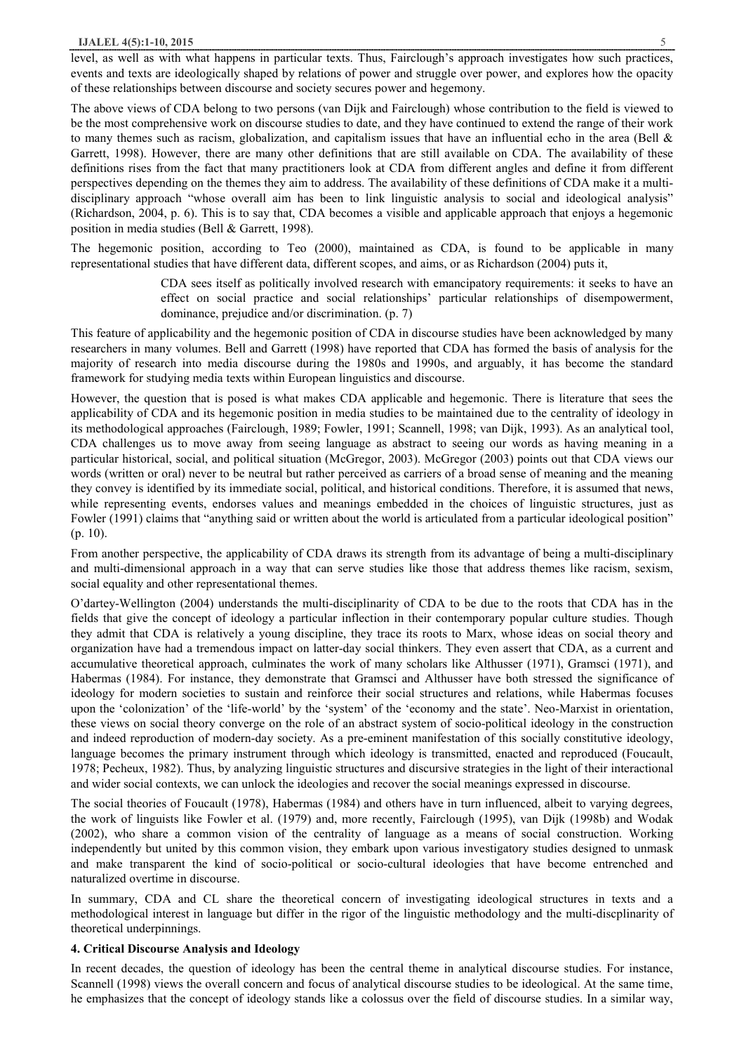level, as well as with what happens in particular texts. Thus, Fairclough's approach investigates how such practices, events and texts are ideologically shaped by relations of power and struggle over power, and explores how the opacity of these relationships between discourse and society secures power and hegemony.

The above views of CDA belong to two persons (van Dijk and Fairclough) whose contribution to the field is viewed to be the most comprehensive work on discourse studies to date, and they have continued to extend the range of their work to many themes such as racism, globalization, and capitalism issues that have an influential echo in the area (Bell & Garrett, 1998). However, there are many other definitions that are still available on CDA. The availability of these definitions rises from the fact that many practitioners look at CDA from different angles and define it from different perspectives depending on the themes they aim to address. The availability of these definitions of CDA make it a multidisciplinary approach "whose overall aim has been to link linguistic analysis to social and ideological analysis" (Richardson, 2004, p. 6). This is to say that, CDA becomes a visible and applicable approach that enjoys a hegemonic position in media studies (Bell & Garrett, 1998).

The hegemonic position, according to Teo (2000), maintained as CDA, is found to be applicable in many representational studies that have different data, different scopes, and aims, or as Richardson (2004) puts it,

> CDA sees itself as politically involved research with emancipatory requirements: it seeks to have an effect on social practice and social relationships' particular relationships of disempowerment, dominance, prejudice and/or discrimination. (p. 7)

This feature of applicability and the hegemonic position of CDA in discourse studies have been acknowledged by many researchers in many volumes. Bell and Garrett (1998) have reported that CDA has formed the basis of analysis for the majority of research into media discourse during the 1980s and 1990s, and arguably, it has become the standard framework for studying media texts within European linguistics and discourse.

However, the question that is posed is what makes CDA applicable and hegemonic. There is literature that sees the applicability of CDA and its hegemonic position in media studies to be maintained due to the centrality of ideology in its methodological approaches (Fairclough, 1989; Fowler, 1991; Scannell, 1998; van Dijk, 1993). As an analytical tool, CDA challenges us to move away from seeing language as abstract to seeing our words as having meaning in a particular historical, social, and political situation (McGregor, 2003). McGregor (2003) points out that CDA views our words (written or oral) never to be neutral but rather perceived as carriers of a broad sense of meaning and the meaning they convey is identified by its immediate social, political, and historical conditions. Therefore, it is assumed that news, while representing events, endorses values and meanings embedded in the choices of linguistic structures, just as Fowler (1991) claims that "anything said or written about the world is articulated from a particular ideological position" (p. 10).

From another perspective, the applicability of CDA draws its strength from its advantage of being a multi-disciplinary and multi-dimensional approach in a way that can serve studies like those that address themes like racism, sexism, social equality and other representational themes.

O'dartey-Wellington (2004) understands the multi-disciplinarity of CDA to be due to the roots that CDA has in the fields that give the concept of ideology a particular inflection in their contemporary popular culture studies. Though they admit that CDA is relatively a young discipline, they trace its roots to Marx, whose ideas on social theory and organization have had a tremendous impact on latter-day social thinkers. They even assert that CDA, as a current and accumulative theoretical approach, culminates the work of many scholars like Althusser (1971), Gramsci (1971), and Habermas (1984). For instance, they demonstrate that Gramsci and Althusser have both stressed the significance of ideology for modern societies to sustain and reinforce their social structures and relations, while Habermas focuses upon the 'colonization' of the 'life-world' by the 'system' of the 'economy and the state'. Neo-Marxist in orientation, these views on social theory converge on the role of an abstract system of socio-political ideology in the construction and indeed reproduction of modern-day society. As a pre-eminent manifestation of this socially constitutive ideology, language becomes the primary instrument through which ideology is transmitted, enacted and reproduced (Foucault, 1978; Pecheux, 1982). Thus, by analyzing linguistic structures and discursive strategies in the light of their interactional and wider social contexts, we can unlock the ideologies and recover the social meanings expressed in discourse.

The social theories of Foucault (1978), Habermas (1984) and others have in turn influenced, albeit to varying degrees, the work of linguists like Fowler et al. (1979) and, more recently, Fairclough (1995), van Dijk (1998b) and Wodak (2002), who share a common vision of the centrality of language as a means of social construction. Working independently but united by this common vision, they embark upon various investigatory studies designed to unmask and make transparent the kind of socio-political or socio-cultural ideologies that have become entrenched and naturalized overtime in discourse.

In summary, CDA and CL share the theoretical concern of investigating ideological structures in texts and a methodological interest in language but differ in the rigor of the linguistic methodology and the multi-discplinarity of theoretical underpinnings.

# **4. Critical Discourse Analysis and Ideology**

In recent decades, the question of ideology has been the central theme in analytical discourse studies. For instance, Scannell (1998) views the overall concern and focus of analytical discourse studies to be ideological. At the same time, he emphasizes that the concept of ideology stands like a colossus over the field of discourse studies. In a similar way,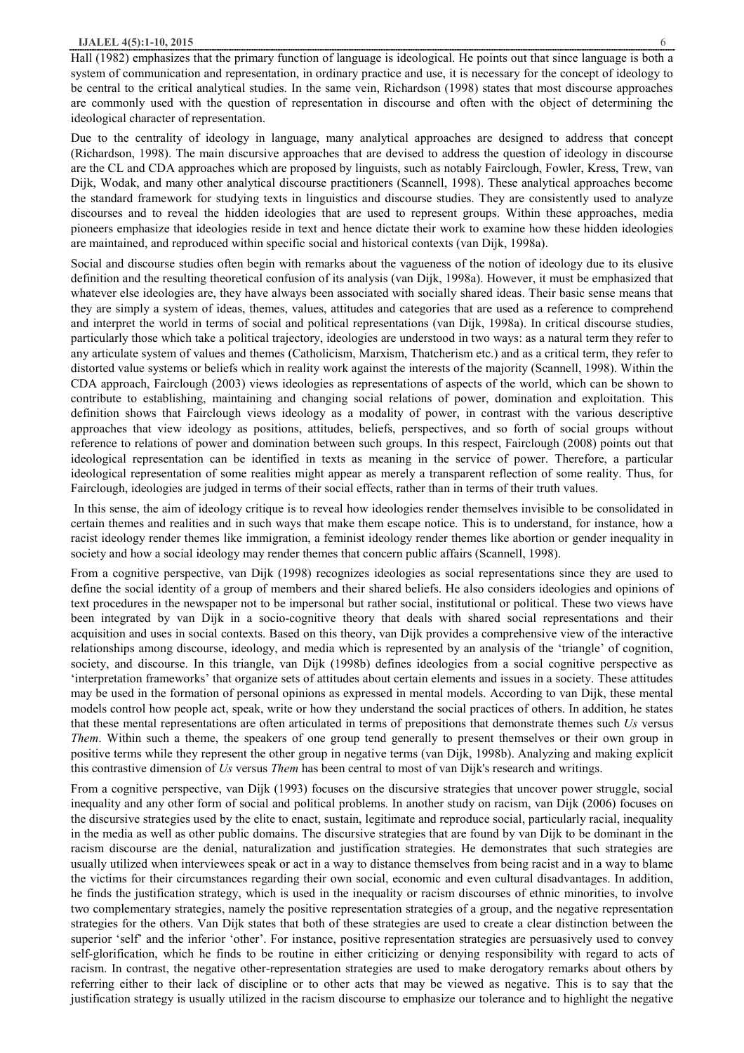Hall (1982) emphasizes that the primary function of language is ideological. He points out that since language is both a system of communication and representation, in ordinary practice and use, it is necessary for the concept of ideology to be central to the critical analytical studies. In the same vein, Richardson (1998) states that most discourse approaches are commonly used with the question of representation in discourse and often with the object of determining the ideological character of representation.

Due to the centrality of ideology in language, many analytical approaches are designed to address that concept (Richardson, 1998). The main discursive approaches that are devised to address the question of ideology in discourse are the CL and CDA approaches which are proposed by linguists, such as notably Fairclough, Fowler, Kress, Trew, van Dijk, Wodak, and many other analytical discourse practitioners (Scannell, 1998). These analytical approaches become the standard framework for studying texts in linguistics and discourse studies. They are consistently used to analyze discourses and to reveal the hidden ideologies that are used to represent groups. Within these approaches, media pioneers emphasize that ideologies reside in text and hence dictate their work to examine how these hidden ideologies are maintained, and reproduced within specific social and historical contexts (van Dijk, 1998a).

Social and discourse studies often begin with remarks about the vagueness of the notion of ideology due to its elusive definition and the resulting theoretical confusion of its analysis (van Dijk, 1998a). However, it must be emphasized that whatever else ideologies are, they have always been associated with socially shared ideas. Their basic sense means that they are simply a system of ideas, themes, values, attitudes and categories that are used as a reference to comprehend and interpret the world in terms of social and political representations (van Dijk, 1998a). In critical discourse studies, particularly those which take a political trajectory, ideologies are understood in two ways: as a natural term they refer to any articulate system of values and themes (Catholicism, Marxism, Thatcherism etc.) and as a critical term, they refer to distorted value systems or beliefs which in reality work against the interests of the majority (Scannell, 1998). Within the CDA approach, Fairclough (2003) views ideologies as representations of aspects of the world, which can be shown to contribute to establishing, maintaining and changing social relations of power, domination and exploitation. This definition shows that Fairclough views ideology as a modality of power, in contrast with the various descriptive approaches that view ideology as positions, attitudes, beliefs, perspectives, and so forth of social groups without reference to relations of power and domination between such groups. In this respect, Fairclough (2008) points out that ideological representation can be identified in texts as meaning in the service of power. Therefore, a particular ideological representation of some realities might appear as merely a transparent reflection of some reality. Thus, for Fairclough, ideologies are judged in terms of their social effects, rather than in terms of their truth values.

 In this sense, the aim of ideology critique is to reveal how ideologies render themselves invisible to be consolidated in certain themes and realities and in such ways that make them escape notice. This is to understand, for instance, how a racist ideology render themes like immigration, a feminist ideology render themes like abortion or gender inequality in society and how a social ideology may render themes that concern public affairs (Scannell, 1998).

From a cognitive perspective, van Dijk (1998) recognizes ideologies as social representations since they are used to define the social identity of a group of members and their shared beliefs. He also considers ideologies and opinions of text procedures in the newspaper not to be impersonal but rather social, institutional or political. These two views have been integrated by van Dijk in a socio-cognitive theory that deals with shared social representations and their acquisition and uses in social contexts. Based on this theory, van Dijk provides a comprehensive view of the interactive relationships among discourse, ideology, and media which is represented by an analysis of the 'triangle' of cognition, society, and discourse. In this triangle, van Dijk (1998b) defines ideologies from a social cognitive perspective as 'interpretation frameworks' that organize sets of attitudes about certain elements and issues in a society. These attitudes may be used in the formation of personal opinions as expressed in mental models. According to van Dijk, these mental models control how people act, speak, write or how they understand the social practices of others. In addition, he states that these mental representations are often articulated in terms of prepositions that demonstrate themes such *Us* versus *Them*. Within such a theme, the speakers of one group tend generally to present themselves or their own group in positive terms while they represent the other group in negative terms (van Dijk, 1998b). Analyzing and making explicit this contrastive dimension of *Us* versus *Them* has been central to most of van Dijk's research and writings.

From a cognitive perspective, van Dijk (1993) focuses on the discursive strategies that uncover power struggle, social inequality and any other form of social and political problems. In another study on racism, van Dijk (2006) focuses on the discursive strategies used by the elite to enact, sustain, legitimate and reproduce social, particularly racial, inequality in the media as well as other public domains. The discursive strategies that are found by van Dijk to be dominant in the racism discourse are the denial, naturalization and justification strategies. He demonstrates that such strategies are usually utilized when interviewees speak or act in a way to distance themselves from being racist and in a way to blame the victims for their circumstances regarding their own social, economic and even cultural disadvantages. In addition, he finds the justification strategy, which is used in the inequality or racism discourses of ethnic minorities, to involve two complementary strategies, namely the positive representation strategies of a group, and the negative representation strategies for the others. Van Dijk states that both of these strategies are used to create a clear distinction between the superior 'self' and the inferior 'other'. For instance, positive representation strategies are persuasively used to convey self-glorification, which he finds to be routine in either criticizing or denying responsibility with regard to acts of racism. In contrast, the negative other-representation strategies are used to make derogatory remarks about others by referring either to their lack of discipline or to other acts that may be viewed as negative. This is to say that the justification strategy is usually utilized in the racism discourse to emphasize our tolerance and to highlight the negative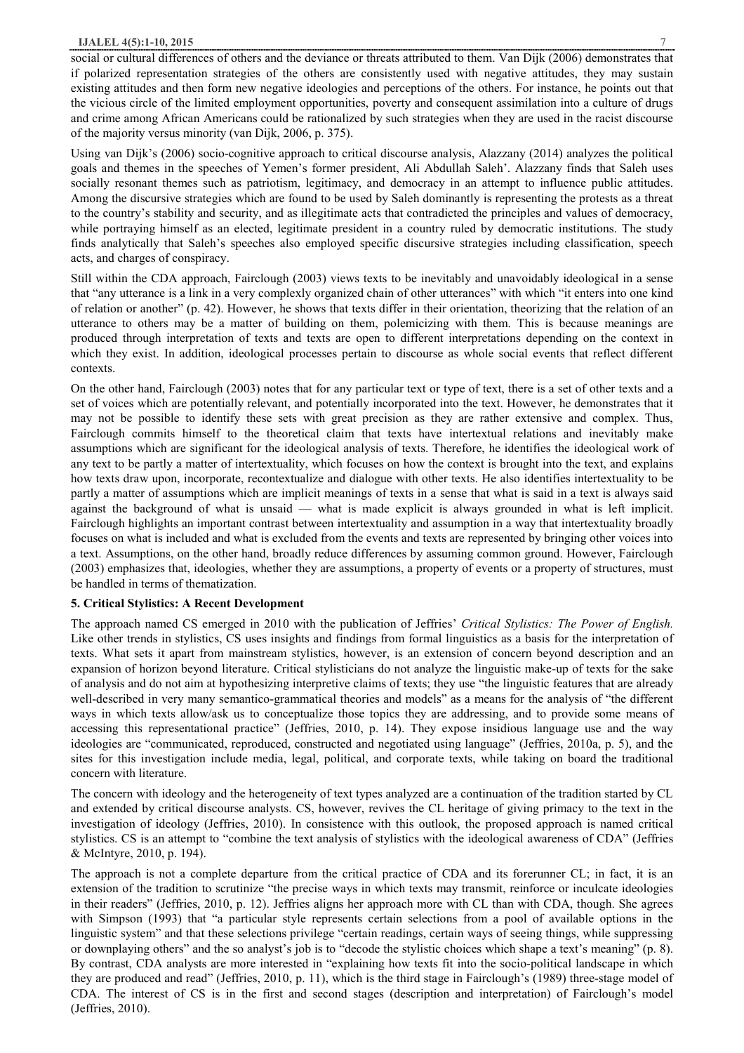#### **IJALEL 4(5):1-10, 2015** 7

social or cultural differences of others and the deviance or threats attributed to them. Van Dijk (2006) demonstrates that if polarized representation strategies of the others are consistently used with negative attitudes, they may sustain existing attitudes and then form new negative ideologies and perceptions of the others. For instance, he points out that the vicious circle of the limited employment opportunities, poverty and consequent assimilation into a culture of drugs and crime among African Americans could be rationalized by such strategies when they are used in the racist discourse of the majority versus minority (van Dijk, 2006, p. 375).

Using van Dijk's (2006) socio-cognitive approach to critical discourse analysis, Alazzany (2014) analyzes the political goals and themes in the speeches of Yemen's former president, Ali Abdullah Saleh'. Alazzany finds that Saleh uses socially resonant themes such as patriotism, legitimacy, and democracy in an attempt to influence public attitudes. Among the discursive strategies which are found to be used by Saleh dominantly is representing the protests as a threat to the country's stability and security, and as illegitimate acts that contradicted the principles and values of democracy, while portraying himself as an elected, legitimate president in a country ruled by democratic institutions. The study finds analytically that Saleh's speeches also employed specific discursive strategies including classification, speech acts, and charges of conspiracy.

Still within the CDA approach, Fairclough (2003) views texts to be inevitably and unavoidably ideological in a sense that "any utterance is a link in a very complexly organized chain of other utterances" with which "it enters into one kind of relation or another" (p. 42). However, he shows that texts differ in their orientation, theorizing that the relation of an utterance to others may be a matter of building on them, polemicizing with them. This is because meanings are produced through interpretation of texts and texts are open to different interpretations depending on the context in which they exist. In addition, ideological processes pertain to discourse as whole social events that reflect different contexts.

On the other hand, Fairclough (2003) notes that for any particular text or type of text, there is a set of other texts and a set of voices which are potentially relevant, and potentially incorporated into the text. However, he demonstrates that it may not be possible to identify these sets with great precision as they are rather extensive and complex. Thus, Fairclough commits himself to the theoretical claim that texts have intertextual relations and inevitably make assumptions which are significant for the ideological analysis of texts. Therefore, he identifies the ideological work of any text to be partly a matter of intertextuality, which focuses on how the context is brought into the text, and explains how texts draw upon, incorporate, recontextualize and dialogue with other texts. He also identifies intertextuality to be partly a matter of assumptions which are implicit meanings of texts in a sense that what is said in a text is always said against the background of what is unsaid — what is made explicit is always grounded in what is left implicit. Fairclough highlights an important contrast between intertextuality and assumption in a way that intertextuality broadly focuses on what is included and what is excluded from the events and texts are represented by bringing other voices into a text. Assumptions, on the other hand, broadly reduce differences by assuming common ground. However, Fairclough (2003) emphasizes that, ideologies, whether they are assumptions, a property of events or a property of structures, must be handled in terms of thematization.

#### **5. Critical Stylistics: A Recent Development**

The approach named CS emerged in 2010 with the publication of Jeffries' *Critical Stylistics: The Power of English.* Like other trends in stylistics, CS uses insights and findings from formal linguistics as a basis for the interpretation of texts. What sets it apart from mainstream stylistics, however, is an extension of concern beyond description and an expansion of horizon beyond literature. Critical stylisticians do not analyze the linguistic make-up of texts for the sake of analysis and do not aim at hypothesizing interpretive claims of texts; they use "the linguistic features that are already well-described in very many semantico-grammatical theories and models" as a means for the analysis of "the different ways in which texts allow/ask us to conceptualize those topics they are addressing, and to provide some means of accessing this representational practice" (Jeffries, 2010, p. 14). They expose insidious language use and the way ideologies are "communicated, reproduced, constructed and negotiated using language" (Jeffries, 2010a, p. 5), and the sites for this investigation include media, legal, political, and corporate texts, while taking on board the traditional concern with literature.

The concern with ideology and the heterogeneity of text types analyzed are a continuation of the tradition started by CL and extended by critical discourse analysts. CS, however, revives the CL heritage of giving primacy to the text in the investigation of ideology (Jeffries, 2010). In consistence with this outlook, the proposed approach is named critical stylistics. CS is an attempt to "combine the text analysis of stylistics with the ideological awareness of CDA" (Jeffries & McIntyre, 2010, p. 194).

The approach is not a complete departure from the critical practice of CDA and its forerunner CL; in fact, it is an extension of the tradition to scrutinize "the precise ways in which texts may transmit, reinforce or inculcate ideologies in their readers" (Jeffries, 2010, p. 12). Jeffries aligns her approach more with CL than with CDA, though. She agrees with Simpson (1993) that "a particular style represents certain selections from a pool of available options in the linguistic system" and that these selections privilege "certain readings, certain ways of seeing things, while suppressing or downplaying others" and the so analyst's job is to "decode the stylistic choices which shape a text's meaning" (p. 8). By contrast, CDA analysts are more interested in "explaining how texts fit into the socio-political landscape in which they are produced and read" (Jeffries, 2010, p. 11), which is the third stage in Fairclough's (1989) three-stage model of CDA. The interest of CS is in the first and second stages (description and interpretation) of Fairclough's model (Jeffries, 2010).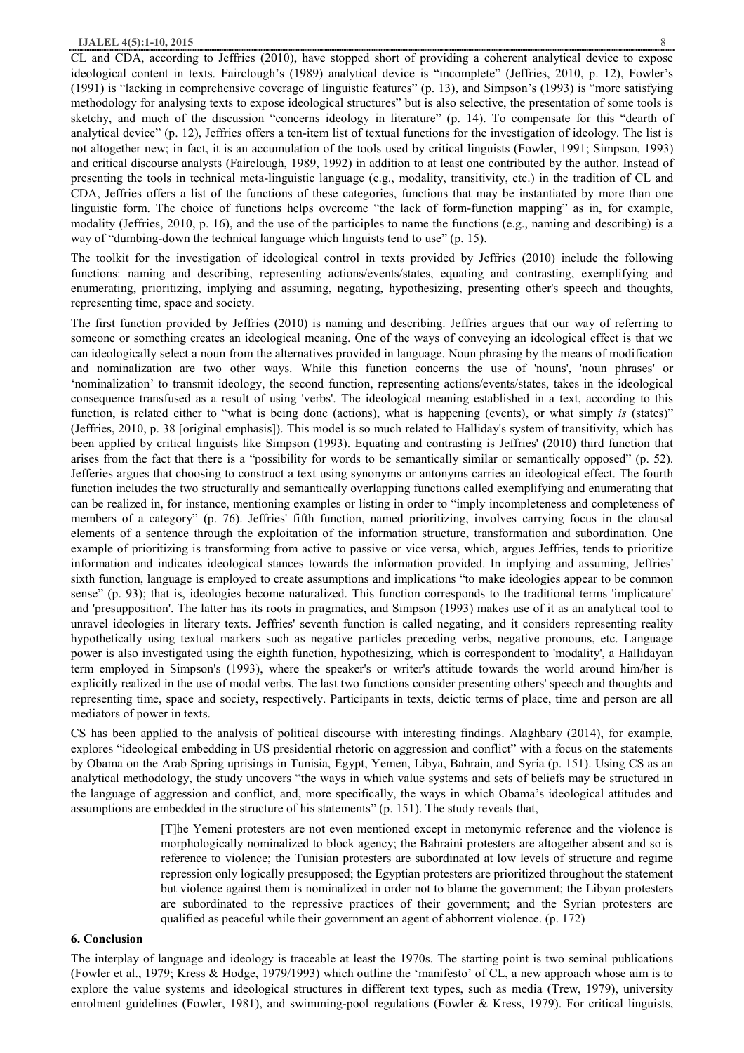CL and CDA, according to Jeffries (2010), have stopped short of providing a coherent analytical device to expose ideological content in texts. Fairclough's (1989) analytical device is "incomplete" (Jeffries, 2010, p. 12), Fowler's (1991) is "lacking in comprehensive coverage of linguistic features" (p. 13), and Simpson's (1993) is "more satisfying methodology for analysing texts to expose ideological structures" but is also selective, the presentation of some tools is sketchy, and much of the discussion "concerns ideology in literature" (p. 14). To compensate for this "dearth of analytical device" (p. 12), Jeffries offers a ten-item list of textual functions for the investigation of ideology. The list is not altogether new; in fact, it is an accumulation of the tools used by critical linguists (Fowler, 1991; Simpson, 1993) and critical discourse analysts (Fairclough, 1989, 1992) in addition to at least one contributed by the author. Instead of presenting the tools in technical meta-linguistic language (e.g., modality, transitivity, etc.) in the tradition of CL and CDA, Jeffries offers a list of the functions of these categories, functions that may be instantiated by more than one linguistic form. The choice of functions helps overcome "the lack of form-function mapping" as in, for example, modality (Jeffries, 2010, p. 16), and the use of the participles to name the functions (e.g., naming and describing) is a way of "dumbing-down the technical language which linguists tend to use" (p. 15).

The toolkit for the investigation of ideological control in texts provided by Jeffries (2010) include the following functions: naming and describing, representing actions/events/states, equating and contrasting, exemplifying and enumerating, prioritizing, implying and assuming, negating, hypothesizing, presenting other's speech and thoughts, representing time, space and society.

The first function provided by Jeffries (2010) is naming and describing. Jeffries argues that our way of referring to someone or something creates an ideological meaning. One of the ways of conveying an ideological effect is that we can ideologically select a noun from the alternatives provided in language. Noun phrasing by the means of modification and nominalization are two other ways. While this function concerns the use of 'nouns', 'noun phrases' or 'nominalization' to transmit ideology, the second function, representing actions/events/states, takes in the ideological consequence transfused as a result of using 'verbs'. The ideological meaning established in a text, according to this function, is related either to "what is being done (actions), what is happening (events), or what simply *is* (states)" (Jeffries, 2010, p. 38 [original emphasis]). This model is so much related to Halliday's system of transitivity, which has been applied by critical linguists like Simpson (1993). Equating and contrasting is Jeffries' (2010) third function that arises from the fact that there is a "possibility for words to be semantically similar or semantically opposed" (p. 52). Jefferies argues that choosing to construct a text using synonyms or antonyms carries an ideological effect. The fourth function includes the two structurally and semantically overlapping functions called exemplifying and enumerating that can be realized in, for instance, mentioning examples or listing in order to "imply incompleteness and completeness of members of a category" (p. 76). Jeffries' fifth function, named prioritizing, involves carrying focus in the clausal elements of a sentence through the exploitation of the information structure, transformation and subordination. One example of prioritizing is transforming from active to passive or vice versa, which, argues Jeffries, tends to prioritize information and indicates ideological stances towards the information provided. In implying and assuming, Jeffries' sixth function, language is employed to create assumptions and implications "to make ideologies appear to be common sense" (p. 93); that is, ideologies become naturalized. This function corresponds to the traditional terms 'implicature' and 'presupposition'. The latter has its roots in pragmatics, and Simpson (1993) makes use of it as an analytical tool to unravel ideologies in literary texts. Jeffries' seventh function is called negating, and it considers representing reality hypothetically using textual markers such as negative particles preceding verbs, negative pronouns, etc. Language power is also investigated using the eighth function, hypothesizing, which is correspondent to 'modality', a Hallidayan term employed in Simpson's (1993), where the speaker's or writer's attitude towards the world around him/her is explicitly realized in the use of modal verbs. The last two functions consider presenting others' speech and thoughts and representing time, space and society, respectively. Participants in texts, deictic terms of place, time and person are all mediators of power in texts.

CS has been applied to the analysis of political discourse with interesting findings. Alaghbary (2014), for example, explores "ideological embedding in US presidential rhetoric on aggression and conflict" with a focus on the statements by Obama on the Arab Spring uprisings in Tunisia, Egypt, Yemen, Libya, Bahrain, and Syria (p. 151). Using CS as an analytical methodology, the study uncovers "the ways in which value systems and sets of beliefs may be structured in the language of aggression and conflict, and, more specifically, the ways in which Obama's ideological attitudes and assumptions are embedded in the structure of his statements" (p. 151). The study reveals that,

> [T]he Yemeni protesters are not even mentioned except in metonymic reference and the violence is morphologically nominalized to block agency; the Bahraini protesters are altogether absent and so is reference to violence; the Tunisian protesters are subordinated at low levels of structure and regime repression only logically presupposed; the Egyptian protesters are prioritized throughout the statement but violence against them is nominalized in order not to blame the government; the Libyan protesters are subordinated to the repressive practices of their government; and the Syrian protesters are qualified as peaceful while their government an agent of abhorrent violence. (p. 172)

#### **6. Conclusion**

The interplay of language and ideology is traceable at least the 1970s. The starting point is two seminal publications (Fowler et al., 1979; Kress & Hodge, 1979/1993) which outline the 'manifesto' of CL, a new approach whose aim is to explore the value systems and ideological structures in different text types, such as media (Trew, 1979), university enrolment guidelines (Fowler, 1981), and swimming-pool regulations (Fowler & Kress, 1979). For critical linguists,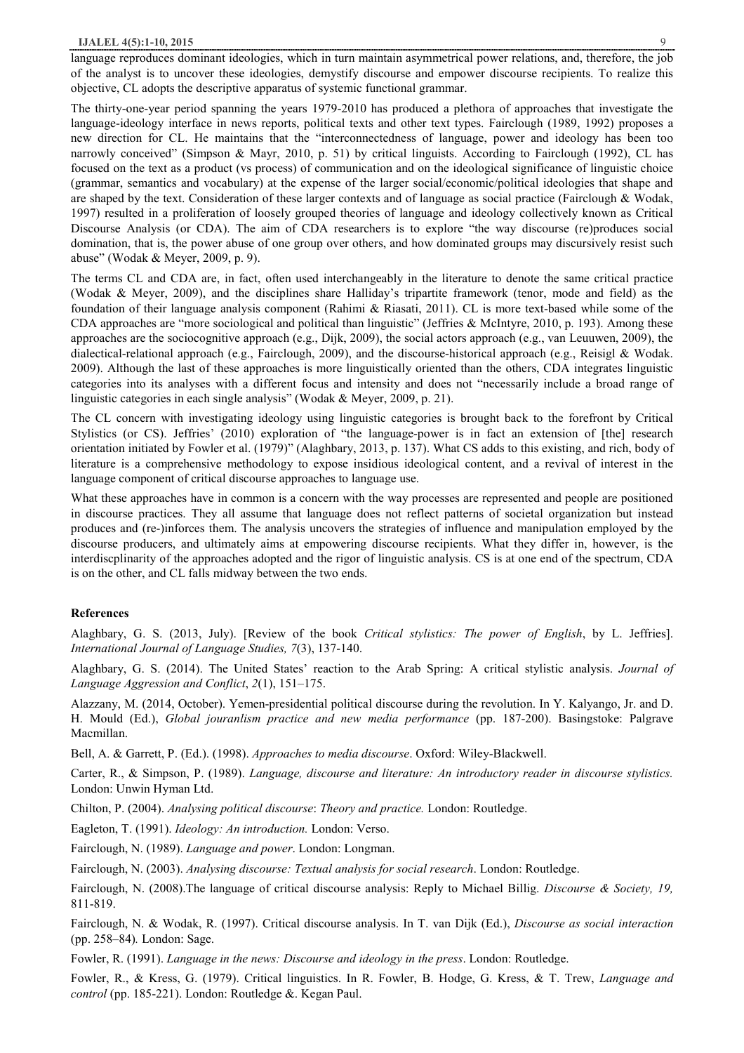language reproduces dominant ideologies, which in turn maintain asymmetrical power relations, and, therefore, the job of the analyst is to uncover these ideologies, demystify discourse and empower discourse recipients. To realize this objective, CL adopts the descriptive apparatus of systemic functional grammar.

The thirty-one-year period spanning the years 1979-2010 has produced a plethora of approaches that investigate the language-ideology interface in news reports, political texts and other text types. Fairclough (1989, 1992) proposes a new direction for CL. He maintains that the "interconnectedness of language, power and ideology has been too narrowly conceived" (Simpson & Mayr, 2010, p. 51) by critical linguists. According to Fairclough (1992), CL has focused on the text as a product (vs process) of communication and on the ideological significance of linguistic choice (grammar, semantics and vocabulary) at the expense of the larger social/economic/political ideologies that shape and are shaped by the text. Consideration of these larger contexts and of language as social practice (Fairclough & Wodak, 1997) resulted in a proliferation of loosely grouped theories of language and ideology collectively known as Critical Discourse Analysis (or CDA). The aim of CDA researchers is to explore "the way discourse (re)produces social domination, that is, the power abuse of one group over others, and how dominated groups may discursively resist such abuse" (Wodak & Meyer, 2009, p. 9).

The terms CL and CDA are, in fact, often used interchangeably in the literature to denote the same critical practice (Wodak & Meyer, 2009), and the disciplines share Halliday's tripartite framework (tenor, mode and field) as the foundation of their language analysis component (Rahimi & Riasati, 2011). CL is more text-based while some of the CDA approaches are "more sociological and political than linguistic" (Jeffries & McIntyre, 2010, p. 193). Among these approaches are the sociocognitive approach (e.g., Dijk, 2009), the social actors approach (e.g., van Leuuwen, 2009), the dialectical-relational approach (e.g., Fairclough, 2009), and the discourse-historical approach (e.g., Reisigl & Wodak. 2009). Although the last of these approaches is more linguistically oriented than the others, CDA integrates linguistic categories into its analyses with a different focus and intensity and does not "necessarily include a broad range of linguistic categories in each single analysis" (Wodak & Meyer, 2009, p. 21).

The CL concern with investigating ideology using linguistic categories is brought back to the forefront by Critical Stylistics (or CS). Jeffries' (2010) exploration of "the language-power is in fact an extension of [the] research orientation initiated by Fowler et al. (1979)" (Alaghbary, 2013, p. 137). What CS adds to this existing, and rich, body of literature is a comprehensive methodology to expose insidious ideological content, and a revival of interest in the language component of critical discourse approaches to language use.

What these approaches have in common is a concern with the way processes are represented and people are positioned in discourse practices. They all assume that language does not reflect patterns of societal organization but instead produces and (re-)inforces them. The analysis uncovers the strategies of influence and manipulation employed by the discourse producers, and ultimately aims at empowering discourse recipients. What they differ in, however, is the interdiscplinarity of the approaches adopted and the rigor of linguistic analysis. CS is at one end of the spectrum, CDA is on the other, and CL falls midway between the two ends.

#### **References**

Alaghbary, G. S. (2013, July). [Review of the book *Critical stylistics: The power of English*, by L. Jeffries]. *International Journal of Language Studies, 7*(3), 137-140.

Alaghbary, G. S. (2014). The United States' reaction to the Arab Spring: A critical stylistic analysis. *Journal of Language Aggression and Conflict*, *2*(1), 151–175.

Alazzany, M. (2014, October). Yemen-presidential political discourse during the revolution. In Y. Kalyango, Jr. and D. H. Mould (Ed.), *Global jouranlism practice and new media performance* (pp. 187-200). Basingstoke: Palgrave Macmillan.

Bell, A. & Garrett, P. (Ed.). (1998). *Approaches to media discourse*. Oxford: Wiley-Blackwell.

Carter, R., & Simpson, P. (1989). *Language, discourse and literature: An introductory reader in discourse stylistics.* London: Unwin Hyman Ltd.

Chilton, P. (2004). *Analysing political discourse*: *Theory and practice.* London: Routledge.

Eagleton, T. (1991). *Ideology: An introduction.* London: Verso.

Fairclough, N. (1989). *Language and power*. London: Longman.

Fairclough, N. (2003). *Analysing discourse: Textual analysis for social research*. London: Routledge.

Fairclough, N. (2008).The language of critical discourse analysis: Reply to Michael Billig. *Discourse & Society, 19,* 811-819.

Fairclough, N. & Wodak, R. (1997). Critical discourse analysis. In T. van Dijk (Ed.), *Discourse as social interaction*  (pp. 258–84)*.* London: Sage.

Fowler, R. (1991). *Language in the news: Discourse and ideology in the press*. London: Routledge.

Fowler, R., & Kress, G. (1979). Critical linguistics. In R. Fowler, B. Hodge, G. Kress, & T. Trew, *Language and control* (pp. 185-221). London: Routledge &. Kegan Paul.